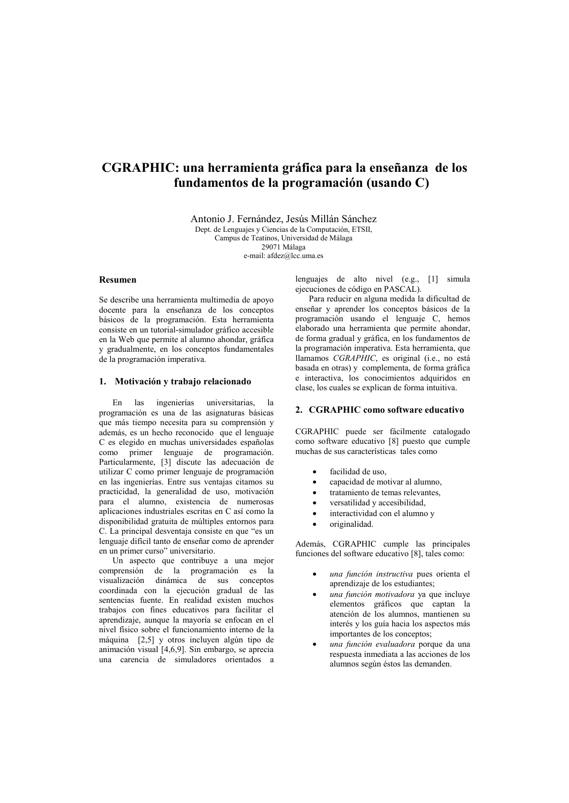# CGRAPHIC: una herramienta gráfica para la enseñanza de los fundamentos de la programación (usando C)

Antonio J. Fernández, Jesús Millán Sánchez Dept. de Lenguajes y Ciencias de la Computación, ETSII. Campus de Teatinos, Universidad de Málaga 29071 Málaga e-mail: afdez@lcc.uma.es

## **Desumen**

Se describe una herramienta multimedia de apoyo docente para la enseñanza de los conceptos básicos de la programación. Esta herramienta consiste en un tutorial-simulador gráfico accesible en la Web que permite al alumno ahondar, gráfica y gradualmente, en los conceptos fundamentales de la programación imperativa.

#### 1. Motivación y trabajo relacionado

ingenierías universitarias, En las  $1a$ programación es una de las asignaturas básicas que más tiempo necesita para su comprensión y además, es un hecho reconocido que el lenguaje C es elegido en muchas universidades españolas como primer lenguaje de programación. Particularmente, [3] discute las adecuación de utilizar C como primer lenguaie de programación en las ingenierías. Entre sus ventajas citamos su practicidad, la generalidad de uso, motivación para el alumno, existencia de numerosas aplicaciones industriales escritas en C así como la disponibilidad gratuita de múltiples entornos para C. La principal desventaja consiste en que "es un lenguaie difícil tanto de enseñar como de aprender en un primer curso" universitario.

Un aspecto que contribuye a una mejor comprensión de la programación es la visualización dinámica de sus conceptos coordinada con la ejecución gradual de las sentencias fuente. En realidad existen muchos trabajos con fines educativos para facilitar el aprendizaje, aunque la mayoría se enfocan en el nivel físico sobre el funcionamiento interno de la máquina [2,5] y otros incluyen algún tipo de animación visual [4,6,9]. Sin embargo, se aprecia una carencia de simuladores orientados a lenguajes de alto nivel (e.g., [1] simula ejecuciones de código en PASCAL)

Para reducir en alguna medida la dificultad de enseñar y aprender los conceptos básicos de la programación usando el lenguaje C, hemos elaborado una herramienta que permite ahondar, de forma gradual y gráfica, en los fundamentos de la programación imperativa. Esta herramienta, que llamamos CGRAPHIC, es original (i.e., no está basada en otras) y complementa, de forma gráfica e interactiva, los conocimientos adquiridos en clase, los cuales se explican de forma intuitiva.

# 2. CGRAPHIC como software educativo

CGRAPHIC puede ser fácilmente catalogado como software educativo [8] puesto que cumple muchas de sus características tales como

- facilidad de uso.
- capacidad de motivar al alumno,
- tratamiento de temas relevantes.
- versatilidad y accesibilidad,
- interactividad con el alumno y
- originalidad.

Además. CGRAPHIC cumple las principales funciones del software educativo [8], tales como:

- una función instructiva pues orienta el aprendizaje de los estudiantes;
- una función motivadora ya que incluye elementos gráficos que captan la atención de los alumnos, mantienen su interés y los guía hacia los aspectos más importantes de los conceptos;
- una función evaluadora porque da una respuesta inmediata a las acciones de los alumnos según éstos las demanden.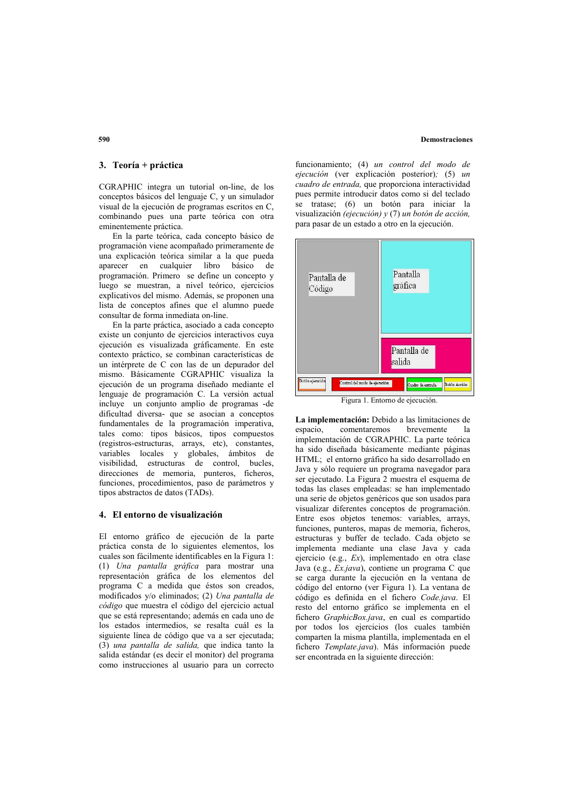## **Demostraciones**

# 3. Teoría + práctica

CGRAPHIC integra un tutorial on-line, de los conceptos básicos del lenguaje C, y un simulador visual de la ejecución de programas escritos en C, combinando pues una parte teórica con otra eminentemente práctica.

En la parte teórica, cada concepto básico de programación viene acompañado primeramente de una explicación teórica similar a la que pueda aparecer en cualquier libro básico de programación. Primero se define un concepto y luego se muestran, a nivel teórico, ejercicios explicativos del mismo. Además, se proponen una lista de conceptos afines que el alumno puede consultar de forma inmediata on-line.

En la parte práctica, asociado a cada concepto existe un conjunto de ejercicios interactivos cuva ejecución es visualizada gráficamente. En este contexto práctico, se combinan características de un intérprete de C con las de un depurador del mismo. Básicamente CGRAPHIC visualiza la ejecución de un programa diseñado mediante el lenguaje de programación C. La versión actual incluye un conjunto amplio de programas -de dificultad diversa- que se asocian a conceptos fundamentales de la programación imperativa, tales como: tipos básicos, tipos compuestos (registros-estructuras, arrays, etc), constantes, variables locales y globales, ámbitos de visibilidad, estructuras de control, bucles, direcciones de memoria, punteros, ficheros, funciones, procedimientos, paso de parámetros y tipos abstractos de datos (TADs).

## 4. El entorno de visualización

El entorno gráfico de ejecución de la parte práctica consta de lo siguientes elementos. los cuales son fácilmente identificables en la Figura 1: (1) Una pantalla gráfica para mostrar una representación gráfica de los elementos del programa C a medida que éstos son creados, modificados y/o eliminados; (2) Una pantalla de código que muestra el código del ejercicio actual que se está representando: además en cada uno de los estados intermedios, se resalta cuál es la siguiente línea de código que va a ser ejecutada;  $(3)$  una pantalla de salida, que indica tanto la salida estándar (es decir el monitor) del programa como instrucciones al usuario para un correcto funcionamiento; (4) un control del modo de ejecución (ver explicación posterior);  $(5)$  un cuadro de entrada, que proporciona interactividad pues permite introducir datos como si del teclado se tratase; (6) un botón para iniciar la visualización (ejecución)  $v(7)$  un botón de acción, para pasar de un estado a otro en la ejecución.



La implementación: Debido a las limitaciones de espacio, comentaremos brevemente  $1a$ implementación de CGRAPHIC. La parte teórica ha sido diseñada básicamente mediante páginas HTML; el entorno gráfico ha sido desarrollado en Java y sólo requiere un programa navegador para ser ejecutado. La Figura 2 muestra el esquema de todas las clases empleadas: se han implementado una serie de objetos genéricos que son usados para visualizar diferentes conceptos de programación. Entre esos objetos tenemos: variables, arrays, funciones, punteros, mapas de memoria, ficheros, estructuras v buffer de teclado. Cada objeto se implementa mediante una clase Java y cada ejercicio (e.g., Ex), implementado en otra clase Java (e.g., *Ex.java*), contiene un programa C que se carga durante la ejecución en la ventana de código del entorno (ver Figura 1). La ventana de código es definida en el fichero Code.java. El resto del entorno gráfico se implementa en el fichero GraphicBox.java, en cual es compartido por todos los ejercicios (los cuales también comparten la misma plantilla, implementada en el fichero Template.java). Más información puede ser encontrada en la siguiente dirección:

## 590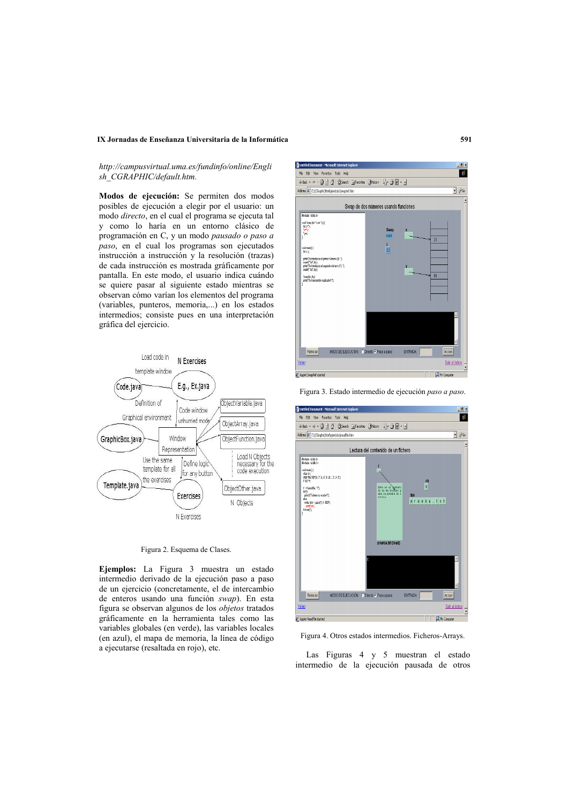## IX Jornadas de Enseñanza Universitaria de la Informática

# http://campusvirtual.uma.es/fundinfo/online/Engli sh CGRAPHIC/default.htm.

Modos de ejecución: Se permiten dos modos posibles de ejecución a elegir por el usuario: un modo directo, en el cual el programa se ejecuta tal y como lo haría en un entorno clásico de programación en C, y un modo pausado o paso a paso, en el cual los programas son ejecutados instrucción a instrucción y la resolución (trazas) de cada instrucción es mostrada gráficamente por pantalla. En este modo, el usuario indica cuándo se quiere pasar al siguiente estado mientras se observan cómo varían los elementos del programa (variables, punteros, memoria,...) en los estados intermedios; consiste pues en una interpretación gráfica del ejercicio.



Figura 2. Esquema de Clases.

Ejemplos: La Figura 3 muestra un estado intermedio derivado de la ejecución paso a paso de un ejercicio (concretamente, el de intercambio de enteros usando una función swap). En esta figura se observan algunos de los *objetos* tratados gráficamente en la herramienta tales como las variables globales (en verde), las variables locales (en azul), el mapa de memoria, la línea de código a ejecutarse (resaltada en rojo), etc.



Figura 3. Estado intermedio de ejecución paso a paso.



Figura 4. Otros estados intermedios. Ficheros-Arrays.

Las Figuras 4 y 5 muestran el estado intermedio de la ejecución pausada de otros